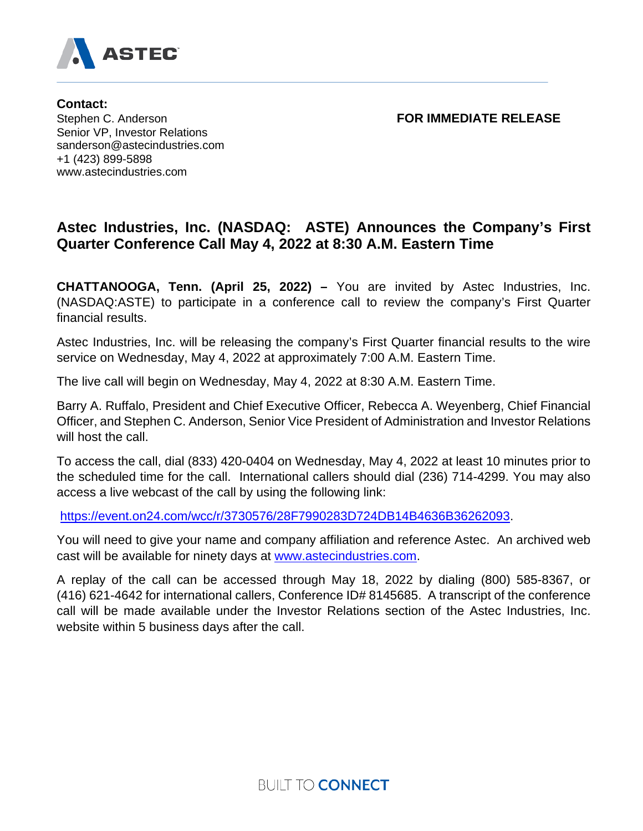

**Contact:**  Stephen C. Anderson **FOR IMMEDIATE RELEASE** Senior VP, Investor Relations sanderson@astecindustries.com +1 (423) 899-5898 www.astecindustries.com

## **Astec Industries, Inc. (NASDAQ: ASTE) Announces the Company's First Quarter Conference Call May 4, 2022 at 8:30 A.M. Eastern Time**

**CHATTANOOGA, Tenn. (April 25, 2022) –** You are invited by Astec Industries, Inc. (NASDAQ:ASTE) to participate in a conference call to review the company's First Quarter financial results.

Astec Industries, Inc. will be releasing the company's First Quarter financial results to the wire service on Wednesday, May 4, 2022 at approximately 7:00 A.M. Eastern Time.

The live call will begin on Wednesday, May 4, 2022 at 8:30 A.M. Eastern Time.

Barry A. Ruffalo, President and Chief Executive Officer, Rebecca A. Weyenberg, Chief Financial Officer, and Stephen C. Anderson, Senior Vice President of Administration and Investor Relations will host the call.

To access the call, dial (833) 420-0404 on Wednesday, May 4, 2022 at least 10 minutes prior to the scheduled time for the call. International callers should dial (236) 714-4299. You may also access a live webcast of the call by using the following link:

[https://event.on24.com/wcc/r/3730576/28F7990283D724DB14B4636B36262093.](https://nam10.safelinks.protection.outlook.com/?url=https%3A%2F%2Fwww.google.com%2Furl%3Fq%3Dhttps%253A%252F%252Fevent.on24.com%252Fwcc%252Fr%252F3730576%252F28F7990283D724DB14B4636B36262093%26sa%3DD%26ust%3D1651345105955000%26usg%3DAOvVaw2NgQuFRK38ZYpmKLO7SrnL&data=05%7C01%7Calong%40astecindustries.com%7C16ca9ad69f844c698dc908da26efb350%7C421ad4cdea0d46fca7be46e7ee651d24%7C0%7C0%7C637865108201462479%7CUnknown%7CTWFpbGZsb3d8eyJWIjoiMC4wLjAwMDAiLCJQIjoiV2luMzIiLCJBTiI6Ik1haWwiLCJXVCI6Mn0%3D%7C3000%7C%7C%7C&sdata=fhoNVPP5R6H3OtZOvUZEsIjYXBHPHg6t7%2F5Tz0YfK%2BU%3D&reserved=0)

You will need to give your name and company affiliation and reference Astec. An archived web cast will be available for ninety days at [www.astecindustries.com.](https://www.astecindustries.com/)

A replay of the call can be accessed through May 18, 2022 by dialing (800) 585-8367, or (416) 621-4642 for international callers, Conference ID# 8145685. A transcript of the conference call will be made available under the Investor Relations section of the Astec Industries, Inc. website within 5 business days after the call.

**BUILT TO CONNECT**